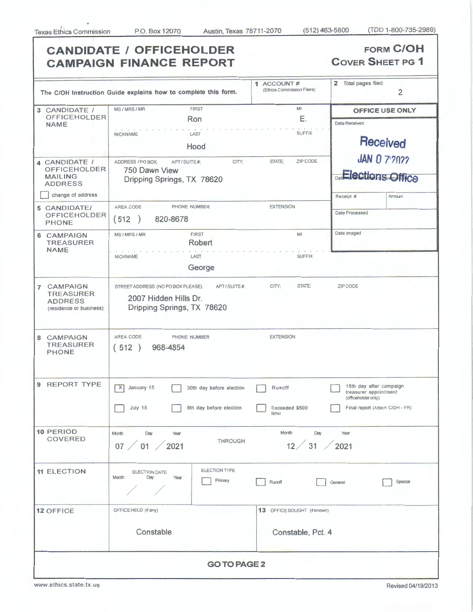| <b>CANDIDATE / OFFICEHOLDER</b><br><b>CAMPAIGN FINANCE REPORT</b>                             | <b>FORM C/OH</b><br><b>COVER SHEET PG 1</b>                                                                          |                                                                                                   |                                                                                                            |  |  |  |
|-----------------------------------------------------------------------------------------------|----------------------------------------------------------------------------------------------------------------------|---------------------------------------------------------------------------------------------------|------------------------------------------------------------------------------------------------------------|--|--|--|
| The C/OH Instruction Guide explains how to complete this form.                                | 2 Total pages filed:<br>$\overline{2}$                                                                               |                                                                                                   |                                                                                                            |  |  |  |
| 3 CANDIDATE /<br><b>OFFICEHOLDER</b><br><b>NAME</b>                                           | MS/MRS/MR<br><b>FIRST</b><br>Ron                                                                                     | MI<br>Е.                                                                                          | <b>OFFICE USE ONLY</b><br>Date Received                                                                    |  |  |  |
| 4 CANDIDATE /<br><b>OFFICEHOLDER</b><br><b>MAILING</b><br><b>ADDRESS</b><br>change of address | LAST<br>NICKNAME<br>Hood<br>ADDRESS / PO BOX;<br>CITY:<br>APT/SUITE#;<br>750 Dawn View<br>Dripping Springs, TX 78620 | <b>SUFFIX</b><br>Received<br><b>JAN 0 7'2022</b><br>ZIP CODE<br>STATE:<br><b>Elections Office</b> |                                                                                                            |  |  |  |
| 5 CANDIDATE/<br><b>OFFICEHOLDER</b><br><b>PHONE</b>                                           | AREA CODE<br>PHONE NUMBER<br>(512)<br>820-8678                                                                       | <b>EXTENSION</b>                                                                                  | Amount<br>Receipt #<br>Date Processed                                                                      |  |  |  |
| 6 CAMPAIGN<br><b>TREASURER</b><br><b>NAME</b>                                                 | FIRST<br>MS/MRS/MR<br>Robert<br>LAST<br><b>NICKNAME</b><br>George                                                    | M<br><b>SUFFIX</b>                                                                                | Date Imaged                                                                                                |  |  |  |
| 7 CAMPAIGN<br><b>TREASURER</b><br><b>ADDRESS</b><br>(residence or business)                   | STREET ADDRESS (NO PO BOX PLEASE);<br>APT/SUITE#:<br>2007 Hidden Hills Dr.<br>Dripping Springs, TX 78620             | STATE;<br>CITY;                                                                                   | ZIP CODE                                                                                                   |  |  |  |
| 8 CAMPAIGN<br><b>TREASURER</b><br><b>PHONE</b>                                                | AREA CODE<br>PHONE NUMBER<br>(512)<br>968-4854                                                                       | <b>EXTENSION</b>                                                                                  |                                                                                                            |  |  |  |
| 9 REPORT TYPE                                                                                 | X<br>January 15<br>30th day before election<br>8th day before election<br>July 15                                    | Runoff<br>Exceeded \$500<br>limit                                                                 | 15th day after campaign<br>treasurer appointment<br>(officeholder only)<br>Final report (Attach C/OH - FR) |  |  |  |
| 10 PERIOD<br><b>COVERED</b>                                                                   | Month<br>Day<br>Year<br><b>THROUGH</b><br>07 / 01 / 2021                                                             | Month<br>Day<br>12 / 31 / 2021                                                                    | Year                                                                                                       |  |  |  |
| <b>11 ELECTION</b>                                                                            | ELECTION TYPE<br>ELECTION DATE<br>Year<br>Month<br>Day<br>Primary                                                    | Runoff                                                                                            | Special<br>General                                                                                         |  |  |  |
| 12 OFFICE                                                                                     | OFFICE HELD (if any)<br>Constable                                                                                    | 13 OFFICE SOUGHT (if known)<br>Constable, Pct. 4                                                  |                                                                                                            |  |  |  |
| <b>GO TO PAGE 2</b>                                                                           |                                                                                                                      |                                                                                                   |                                                                                                            |  |  |  |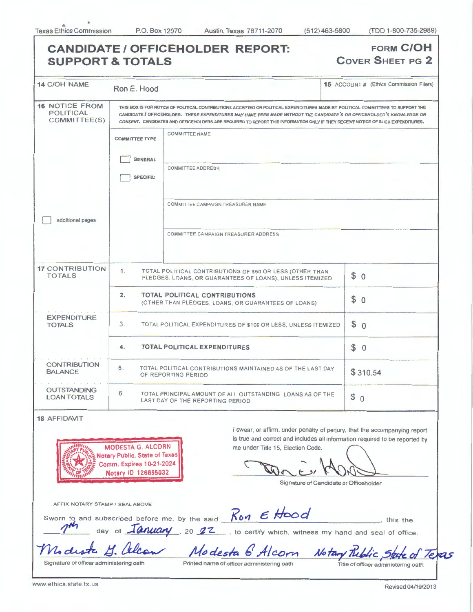| <b>SUPPORT &amp; TOTALS</b>                        |                                                                                                          |                          |                                                                                                                                                                                                                                                                                                                                                                                               |     | <b>COVER SHEET PG 2</b>                 |
|----------------------------------------------------|----------------------------------------------------------------------------------------------------------|--------------------------|-----------------------------------------------------------------------------------------------------------------------------------------------------------------------------------------------------------------------------------------------------------------------------------------------------------------------------------------------------------------------------------------------|-----|-----------------------------------------|
| <b>14 C/OH NAME</b>                                | Ron E. Hood                                                                                              |                          |                                                                                                                                                                                                                                                                                                                                                                                               |     | 15 ACCOUNT # (Ethics Commission Filers) |
| <b>16 NOTICE FROM</b><br>POLITICAL<br>COMMITTEE(S) |                                                                                                          |                          | THIS BOX IS FOR NOTICE OF POLITICAL CONTRIBUTIONS ACCEPTED OR POLITICAL EXPENDITURES MADE BY POLITICAL COMMITTEES TO SUPPORT THE<br>CANDIDATE / OFFICEHOLDER. THESE EXPENDITURES MAY HAVE BEEN MADE WITHOUT THE CANDIDATE'S OR OFFICEHOLDER'S KNOWLEDGE OR<br>CONSENT. CANDIDATES AND OFFICEHOLDERS ARE REQUIRED TO REPORT THIS INFORMATION ONLY IF THEY RECEIVE NOTICE OF SUCH EXPENDITURES. |     |                                         |
|                                                    | <b>COMMITTEE NAME</b><br><b>COMMITTEE TYPE</b>                                                           |                          |                                                                                                                                                                                                                                                                                                                                                                                               |     |                                         |
|                                                    | <b>GENERAL</b><br><b>SPECIFIC</b>                                                                        | <b>COMMITTEE ADDRESS</b> |                                                                                                                                                                                                                                                                                                                                                                                               |     |                                         |
| additional pages                                   |                                                                                                          |                          | COMMITTEE CAMPAIGN TREASURER NAME                                                                                                                                                                                                                                                                                                                                                             |     |                                         |
|                                                    |                                                                                                          |                          | COMMITTEE CAMPAIGN TREASURER ADDRESS                                                                                                                                                                                                                                                                                                                                                          |     |                                         |
| <b>17 CONTRIBUTION</b><br><b>TOTALS</b>            | 1.                                                                                                       |                          | TOTAL POLITICAL CONTRIBUTIONS OF \$50 OR LESS (OTHER THAN<br>PLEDGES, LOANS, OR GUARANTEES OF LOANS), UNLESS ITEMIZED                                                                                                                                                                                                                                                                         |     | \$0                                     |
|                                                    | <b>TOTAL POLITICAL CONTRIBUTIONS</b><br>2.<br>\$0<br>(OTHER THAN PLEDGES, LOANS, OR GUARANTEES OF LOANS) |                          |                                                                                                                                                                                                                                                                                                                                                                                               |     |                                         |
| <b>EXPENDITURE</b><br><b>TOTALS</b>                | 3 <sub>1</sub><br>TOTAL POLITICAL EXPENDITURES OF \$100 OR LESS, UNLESS ITEMIZED                         |                          |                                                                                                                                                                                                                                                                                                                                                                                               | \$0 |                                         |
|                                                    | <b>TOTAL POLITICAL EXPENDITURES</b><br>4.                                                                |                          |                                                                                                                                                                                                                                                                                                                                                                                               |     | \$0                                     |
| <b>CONTRIBUTION</b><br><b>BALANCE</b>              | 5.<br>TOTAL POLITICAL CONTRIBUTIONS MAINTAINED AS OF THE LAST DAY<br>OF REPORTING PERIOD                 |                          |                                                                                                                                                                                                                                                                                                                                                                                               |     | \$310.54                                |
| <b>OUTSTANDING</b><br><b>LOAN TOTALS</b>           | 6.<br>TOTAL PRINCIPAL AMOUNT OF ALL OUTSTANDING LOANS AS OF THE<br>LAST DAY OF THE REPORTING PERIOD      | \$0                      |                                                                                                                                                                                                                                                                                                                                                                                               |     |                                         |

**~~~'t:J,,, MODESTA G. ALCORN lR{::i:;~<!.\ Notary Public, State of Texas ;~\~li§ Comm. Expires 10-21-2024 ~Z:f,jtt;i~ Notary ID 126685032** 

is true and correct and includes all information required to be reported by me under Title 15, Election Code.<br>
<br>
Signature of Candidate or Officeholder

Signature of Candidate or Officeholder

AFFIX NOTARY STAMP / SEAL ABOVE

 $R_{on}$   $\epsilon$  **Hood** this the

subscribed before me, by the said day of *January*, 20 **22** , to certify which, witness my hand and seal of office.

We diste 4 allow Modesta 6 Alcorn Notary Riblic State of Texas

Sworn to and **/1"1**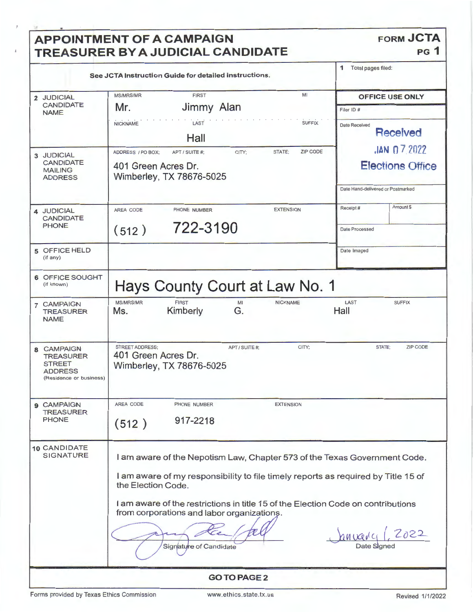| See JCTA Instruction Guide for detailed instructions.<br>MI<br><b>FIRST</b><br><b>MS/MRS/MR</b><br>Jimmy Alan<br>Mr.<br><b>SUFFIX</b><br><b>NICKNAME</b><br>LAST<br>Hall<br>STATE:<br><b>ZIP CODE</b><br>ADDRESS / PO BOX:<br>CITY:<br>APT / SUITE #:<br>401 Green Acres Dr.<br>Wimberley, TX 78676-5025<br>AREA CODE<br><b>EXTENSION</b><br>PHONE NUMBER | Total pages filed:<br>1<br><b>OFFICE USE ONLY</b><br>Filer ID #<br>Date Received<br><b>Received</b><br>$JAN$ 0 7.2022<br><b>Elections Office</b><br>Date Hand-delivered or Postmarked<br>Amount \$<br>Receipt#                                                                                              |
|-----------------------------------------------------------------------------------------------------------------------------------------------------------------------------------------------------------------------------------------------------------------------------------------------------------------------------------------------------------|-------------------------------------------------------------------------------------------------------------------------------------------------------------------------------------------------------------------------------------------------------------------------------------------------------------|
|                                                                                                                                                                                                                                                                                                                                                           |                                                                                                                                                                                                                                                                                                             |
|                                                                                                                                                                                                                                                                                                                                                           |                                                                                                                                                                                                                                                                                                             |
|                                                                                                                                                                                                                                                                                                                                                           |                                                                                                                                                                                                                                                                                                             |
| 722-3190<br>(512)                                                                                                                                                                                                                                                                                                                                         | <b>Date Processed</b>                                                                                                                                                                                                                                                                                       |
|                                                                                                                                                                                                                                                                                                                                                           | Date Imaged                                                                                                                                                                                                                                                                                                 |
|                                                                                                                                                                                                                                                                                                                                                           |                                                                                                                                                                                                                                                                                                             |
| <b>MS/MRS/MR</b><br><b>FIRST</b><br><b>NICKNAME</b><br>MI<br>Kimberly<br>G.<br>Ms.                                                                                                                                                                                                                                                                        | LAST<br><b>SUFFIX</b><br>Hall                                                                                                                                                                                                                                                                               |
| STREET ADDRESS;<br>CITY:<br>APT / SUITE #:<br>401 Green Acres Dr.<br>Wimberley, TX 78676-5025                                                                                                                                                                                                                                                             | STATE:<br><b>ZIP CODE</b>                                                                                                                                                                                                                                                                                   |
| AREA CODE<br>PHONE NUMBER<br><b>EXTENSION</b><br>917-2218<br>(512)                                                                                                                                                                                                                                                                                        |                                                                                                                                                                                                                                                                                                             |
| the Election Code.<br>from corporations and labor organizations.<br>Signature of Candidate                                                                                                                                                                                                                                                                | 2022<br>anvarci<br>Date Signed                                                                                                                                                                                                                                                                              |
|                                                                                                                                                                                                                                                                                                                                                           | Hays County Court at Law No. 1<br>I am aware of the Nepotism Law, Chapter 573 of the Texas Government Code.<br>I am aware of my responsibility to file timely reports as required by Title 15 of<br>I am aware of the restrictions in title 15 of the Election Code on contributions<br><b>GO TO PAGE 2</b> |

Forms provided by Texas Ethics Commission www.ethics.state.tx.us Revised 1/1/2022